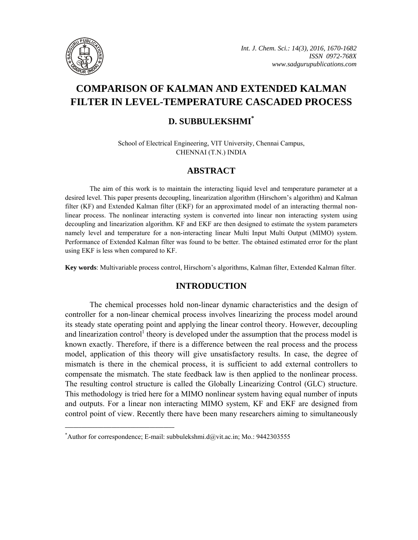

# **COMPARISON OF KALMAN AND EXTENDED KALMAN FILTER IN LEVEL-TEMPERATURE CASCADED PROCESS**

## **D. SUBBULEKSHMI\***

School of Electrical Engineering, VIT University, Chennai Campus, CHENNAI (T.N.) INDIA

## **ABSTRACT**

The aim of this work is to maintain the interacting liquid level and temperature parameter at a desired level. This paper presents decoupling, linearization algorithm (Hirschorn's algorithm) and Kalman filter (KF) and Extended Kalman filter (EKF) for an approximated model of an interacting thermal nonlinear process. The nonlinear interacting system is converted into linear non interacting system using decoupling and linearization algorithm. KF and EKF are then designed to estimate the system parameters namely level and temperature for a non-interacting linear Multi Input Multi Output (MIMO) system. Performance of Extended Kalman filter was found to be better. The obtained estimated error for the plant using EKF is less when compared to KF.

**Key words**: Multivariable process control, Hirschorn's algorithms, Kalman filter, Extended Kalman filter.

### **INTRODUCTION**

The chemical processes hold non-linear dynamic characteristics and the design of controller for a non-linear chemical process involves linearizing the process model around its steady state operating point and applying the linear control theory. However, decoupling and linearization control<sup>1</sup> theory is developed under the assumption that the process model is known exactly. Therefore, if there is a difference between the real process and the process model, application of this theory will give unsatisfactory results. In case, the degree of mismatch is there in the chemical process, it is sufficient to add external controllers to compensate the mismatch. The state feedback law is then applied to the nonlinear process. The resulting control structure is called the Globally Linearizing Control (GLC) structure. This methodology is tried here for a MIMO nonlinear system having equal number of inputs and outputs. For a linear non interacting MIMO system, KF and EKF are designed from control point of view. Recently there have been many researchers aiming to simultaneously

**\_\_\_\_\_\_\_\_\_\_\_\_\_\_\_\_\_\_\_\_\_\_\_\_\_\_\_\_\_\_\_\_\_\_\_\_\_\_\_\_**

<sup>\*</sup> Author for correspondence; E-mail: subbulekshmi.d@vit.ac.in; Mo.: 9442303555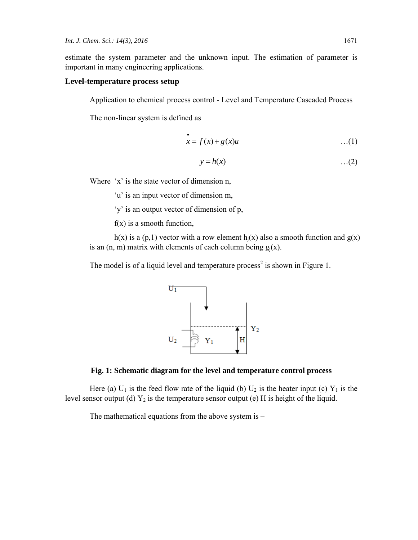estimate the system parameter and the unknown input. The estimation of parameter is important in many engineering applications.

#### **Level-temperature process setup**

Application to chemical process control - Level and Temperature Cascaded Process

The non-linear system is defined as

$$
\dot{x} = f(x) + g(x)u \qquad \qquad \dots (1)
$$

$$
y = h(x) \tag{2}
$$

Where 'x' is the state vector of dimension n,

'u' is an input vector of dimension m,

'y' is an output vector of dimension of p,

 $f(x)$  is a smooth function,

h(x) is a (p,1) vector with a row element h<sub>i</sub>(x) also a smooth function and  $g(x)$ is an  $(n, m)$  matrix with elements of each column being  $g_i(x)$ .

The model is of a liquid level and temperature process<sup>2</sup> is shown in Figure 1.





Here (a)  $U_1$  is the feed flow rate of the liquid (b)  $U_2$  is the heater input (c)  $Y_1$  is the level sensor output (d)  $Y_2$  is the temperature sensor output (e) H is height of the liquid.

The mathematical equations from the above system is –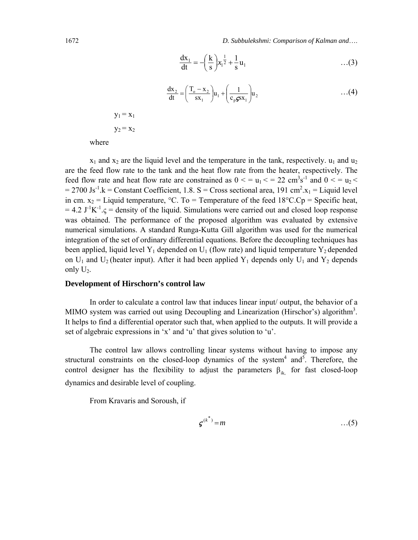1672 *D. Subbulekshmi: Comparison of Kalman and*….

$$
\frac{dx_1}{dt} = -\left(\frac{k}{s}\right) x_1^{\frac{1}{2}} + \frac{1}{s} u_1 \qquad \qquad ...(3)
$$

$$
\frac{dx_2}{dt} = \left(\frac{T_o - x_2}{sx_1}\right)u_1 + \left(\frac{1}{c_p \mathbf{S} x_1}\right)u_2 \tag{4}
$$

 $y_1 = x_1$  $y_2 = x_2$ 

where

 $x_1$  and  $x_2$  are the liquid level and the temperature in the tank, respectively.  $u_1$  and  $u_2$ are the feed flow rate to the tank and the heat flow rate from the heater, respectively. The feed flow rate and heat flow rate are constrained as  $0 \le u_1 \le 22 \text{ cm}^3 \text{s}^{-1}$  and  $0 \le u_2 \le$  $= 2700 \text{ Js}^{-1}$ .k = Constant Coefficient, 1.8. S = Cross sectional area, 191 cm<sup>2</sup>.x<sub>1</sub> = Liquid level in cm.  $x_2$  = Liquid temperature, °C. To = Temperature of the feed 18°C.Cp = Specific heat,  $= 4.2 \text{ J}^{-1}\text{K}^{-1}$ . $\varsigma$  = density of the liquid. Simulations were carried out and closed loop response was obtained. The performance of the proposed algorithm was evaluated by extensive numerical simulations. A standard Runga-Kutta Gill algorithm was used for the numerical integration of the set of ordinary differential equations. Before the decoupling techniques has been applied, liquid level Y<sub>1</sub> depended on U<sub>1</sub> (flow rate) and liquid temperature Y<sub>2</sub> depended on  $U_1$  and  $U_2$  (heater input). After it had been applied  $Y_1$  depends only  $U_1$  and  $Y_2$  depends only  $U_2$ .

#### **Development of Hirschorn's control law**

In order to calculate a control law that induces linear input/ output, the behavior of a MIMO system was carried out using Decoupling and Linearization (Hirschor's) algorithm<sup>3</sup>. It helps to find a differential operator such that, when applied to the outputs. It will provide a set of algebraic expressions in 'x' and 'u' that gives solution to 'u'.

The control law allows controlling linear systems without having to impose any structural constraints on the closed-loop dynamics of the system<sup>4</sup> and<sup>5</sup>. Therefore, the control designer has the flexibility to adjust the parameters  $\beta_{ik}$  for fast closed-loop dynamics and desirable level of coupling.

From Kravaris and Soroush, if

$$
\boldsymbol{\varsigma}^{(k^*)} = m \tag{5}
$$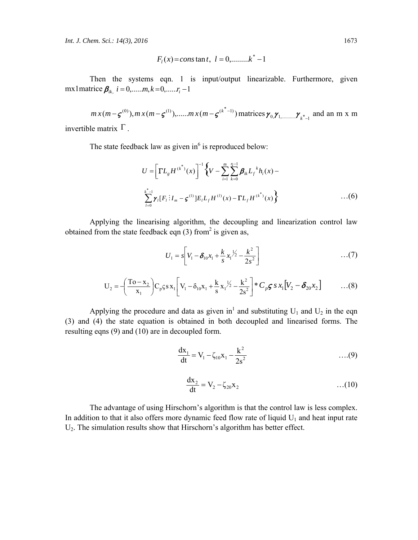*Int. J. Chem. Sci.: 14(3), 2016* 1673

$$
F_l(x) = const \text{ and } t, l = 0, \dots, k^* - 1
$$

Then the systems eqn. 1 is input/output linearizable. Furthermore, given mx1matrice  $\beta_{ik}$ ,  $i = 0, \dots, m, k = 0, \dots, r_i - 1$ 

$$
mx(m - \zeta^{(0)}), mx(m - \zeta^{(1)}), \dots, mx(m - \zeta^{(k^*-1)})
$$
 matrices  $\gamma_{0,\gamma_{1,\dots,\dots,\gamma_{k^*-1}}}$  and an m x m

invertible matrix  $\Gamma$ .

The state feedback law as given in<sup>6</sup> is reproduced below:

$$
U = \left[ \Gamma L_g H^{(k^*)}(x) \right]^{-1} \left\{ V - \sum_{i=1}^m \sum_{k=0}^{n-1} \beta_{ik} L_f^{k} h_i(x) - \sum_{l=0}^{k^* - 1} \gamma_l [F_l : I_m - \zeta^{(1)}] E_l L_f H^{(l)}(x) - \Gamma L_f H^{(k^*)}(x) \right\}
$$
...(6)

Applying the linearising algorithm, the decoupling and linearization control law obtained from the state feedback eqn  $(3)$  from<sup>2</sup> is given as,

$$
U_1 = s \bigg[ V_1 - \delta_{10} x_1 + \frac{k}{s} x_1^{1/2} - \frac{k^2}{2s^2} \bigg] \qquad \qquad \dots (7)
$$

$$
U_2 = -\left(\frac{T_0 - x_2}{x_1}\right) C_p \varsigma s x_1 \left[ V_1 - \delta_{10} x_1 + \frac{k}{s} x_1^{1/2} - \frac{k^2}{2s^2} \right] * C_p \varsigma s x_1 \left[ V_2 - \delta_{20} x_2 \right] \tag{8}
$$

Applying the procedure and data as given in<sup>1</sup> and substituting  $U_1$  and  $U_2$  in the eqn (3) and (4) the state equation is obtained in both decoupled and linearised forms. The resulting eqns (9) and (10) are in decoupled form.

$$
\frac{dx_1}{dt} = V_1 - \zeta_{10} x_1 - \frac{k^2}{2s^2} \qquad \qquad \dots (9)
$$

$$
\frac{dx_2}{dt} = V_2 - \zeta_{20} x_2 \tag{10}
$$

The advantage of using Hirschorn's algorithm is that the control law is less complex. In addition to that it also offers more dynamic feed flow rate of liquid  $U_1$  and heat input rate U2. The simulation results show that Hirschorn's algorithm has better effect.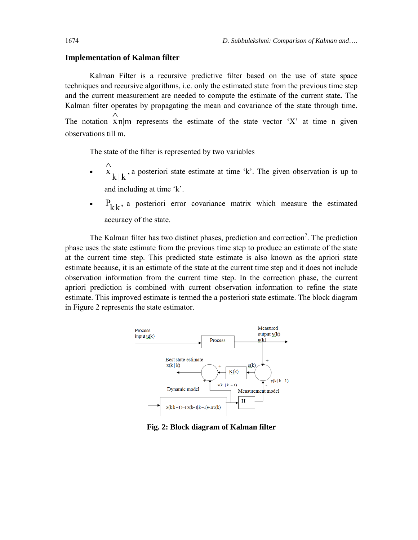#### **Implementation of Kalman filter**

Kalman Filter is a recursive predictive filter based on the use of state space techniques and recursive algorithms, i.e. only the estimated state from the previous time step and the current measurement are needed to compute the estimate of the current state**.** The Kalman filter operates by propagating the mean and covariance of the state through time. The notation  $x_n|m$ ∧ represents the estimate of the state vector 'X' at time n given observations till m.

The state of the filter is represented by two variables

- $x_{k | k}$ , ∧ a posteriori state estimate at time 'k'. The given observation is up to and including at time 'k'.
- $P_{k|k}$ , a posteriori error covariance matrix which measure the estimated accuracy of the state.

The Kalman filter has two distinct phases, prediction and correction<sup>7</sup>. The prediction phase uses the state estimate from the previous time step to produce an estimate of the state at the current time step. This predicted state estimate is also known as the apriori state estimate because, it is an estimate of the state at the current time step and it does not include observation information from the current time step. In the correction phase, the current apriori prediction is combined with current observation information to refine the state estimate. This improved estimate is termed the a posteriori state estimate. The block diagram in Figure 2 represents the state estimator.



**Fig. 2: Block diagram of Kalman filter**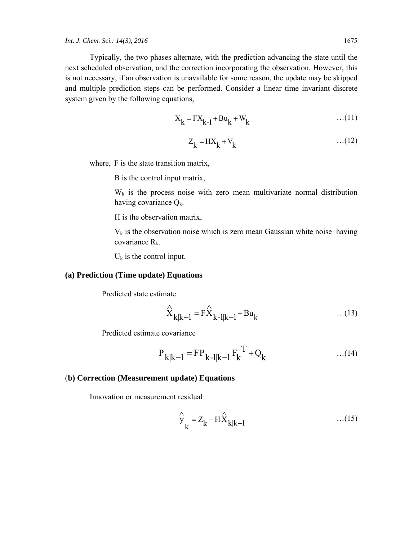Typically, the two phases alternate, with the prediction advancing the state until the next scheduled observation, and the correction incorporating the observation. However, this is not necessary, if an observation is unavailable for some reason, the update may be skipped and multiple prediction steps can be performed. Consider a linear time invariant discrete system given by the following equations,

$$
X_k = FX_{k-1} + Bu_k + W_k \tag{11}
$$

$$
Z_k = HX_k + V_k \tag{12}
$$

where, F is the state transition matrix,

B is the control input matrix,

 $W_k$  is the process noise with zero mean multivariate normal distribution having covariance  $Q_k$ .

H is the observation matrix,

 $V_k$  is the observation noise which is zero mean Gaussian white noise having covariance  $R_k$ .

 $U_k$  is the control input.

#### **(a) Prediction (Time update) Equations**

Predicted state estimate

$$
\hat{X}_{k|k-1} = F\hat{X}_{k-1|k-1} + Bu_k
$$
...(13)

Predicted estimate covariance

$$
P_{k|k-1} = FP_{k-1|k-1} F_k^T + Q_k \qquad ...(14)
$$

#### (**b) Correction (Measurement update) Equations**

Innovation or measurement residual

$$
\hat{y}_k = Z_k - H\hat{X}_{k|k-1}
$$
...(15)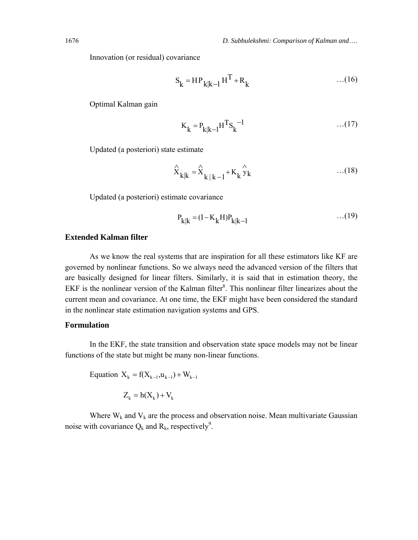Innovation (or residual) covariance

$$
S_k = HP_{k|k-1}H^T + R_k \qquad ...(16)
$$

Optimal Kalman gain

$$
K_{k} = P_{k|k-1}H^{T}S_{k}^{-1}
$$
...(17)

Updated (a posteriori) state estimate

$$
\hat{\mathbf{x}}_{k|k} = \hat{\mathbf{x}}_{k|k-1} + \mathbf{K}_k \hat{\mathbf{y}}_k \qquad \qquad \dots (18)
$$

Updated (a posteriori) estimate covariance

$$
P_{k|k} = (I - K_k H)P_{k|k-1}
$$
...(19)

#### **Extended Kalman filter**

As we know the real systems that are inspiration for all these estimators like KF are governed by nonlinear functions. So we always need the advanced version of the filters that are basically designed for linear filters. Similarly, it is said that in estimation theory, the EKF is the nonlinear version of the Kalman filter ${}^{8}$ . This nonlinear filter linearizes about the current mean and covariance. At one time, the EKF might have been considered the standard in the nonlinear state estimation navigation systems and GPS.

#### **Formulation**

In the EKF, the state transition and observation state space models may not be linear functions of the state but might be many non-linear functions.

Equation 
$$
X_k = f(X_{k-1}, u_{k-1}) + W_{k-1}
$$

 $Z_k = h(X_k) + V_k$ 

Where  $W_k$  and  $V_k$  are the process and observation noise. Mean multivariate Gaussian noise with covariance  $Q_k$  and  $R_k$ , respectively<sup>9</sup>.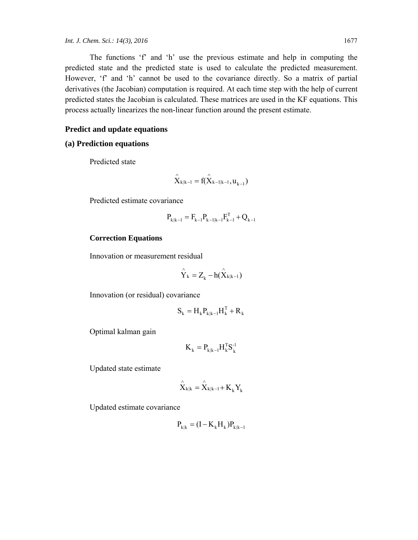The functions 'f' and 'h' use the previous estimate and help in computing the predicted state and the predicted state is used to calculate the predicted measurement. However, 'f' and 'h' cannot be used to the covariance directly. So a matrix of partial derivatives (the Jacobian) computation is required. At each time step with the help of current predicted states the Jacobian is calculated. These matrices are used in the KF equations. This process actually linearizes the non-linear function around the present estimate.

#### **Predict and update equations**

### **(a) Prediction equations**

Predicted state

$$
\overset{\wedge}{X}_{k|k-l}=f(\overset{\wedge}{X}_{k-l|k-l},u_{k-l})
$$

Predicted estimate covariance

$$
P_{k|k-1} = F_{k-1}P_{k-1|k-1}F_{k-1}^T + Q_{k-1}
$$

#### **Correction Equations**

Innovation or measurement residual

$$
\overset{\wedge}{Y}_k = Z_k - h(\overset{\wedge}{X}_{k|k-1})
$$

Innovation (or residual) covariance

$$
\mathbf{S}_{k} = \mathbf{H}_{k} \mathbf{P}_{k|k-1} \mathbf{H}_{k}^{T} + \mathbf{R}_{k}
$$

Optimal kalman gain

$$
\boldsymbol{K}_k = \boldsymbol{P}_{k|k-1} \boldsymbol{H}_k^T \boldsymbol{S}_k^{-1}
$$

Updated state estimate

$$
\overset{\wedge}{X}_{k|k}=\overset{\wedge}{X}_{k|k-1}+K_{k}Y_{k}
$$

Updated estimate covariance

$$
\mathbf{P}_{k|k} = (\mathbf{I} - \mathbf{K}_k \mathbf{H}_k) \mathbf{P}_{k|k-1}
$$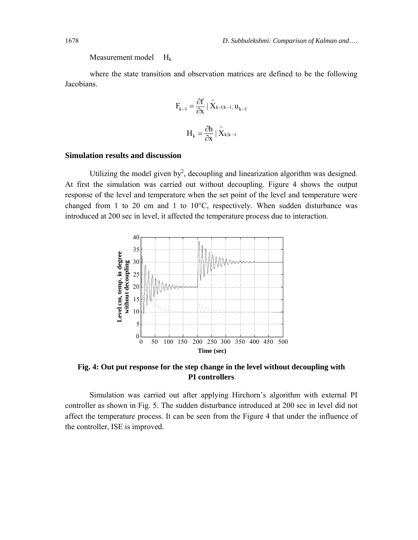Measurement model H<sub>k</sub>

where the state transition and observation matrices are defined to be the following Jacobians.

$$
F_{k-l} = \frac{\partial f}{\partial x} \mid \hat{X}_{k-l|k-l, u_{k-l}}
$$

$$
H_k = \frac{\partial h}{\partial x} \mid \hat{X}_{k|k-l}
$$

#### **Simulation results and discussion**

Utilizing the model given by<sup>2</sup>, decoupling and linearization algorithm was designed. At first the simulation was carried out without decoupling. Figure 4 shows the output response of the level and temperature when the set point of the level and temperature were changed from 1 to 20 cm and 1 to 10°C, respectively. When sudden disturbance was introduced at 200 sec in level, it affected the temperature process due to interaction.



**Fig. 4: Out put response for the step change in the level without decoupling with PI controllers** 

Simulation was carried out after applying Hirchorn's algorithm with external PI controller as shown in Fig. 5. The sudden disturbance introduced at 200 sec in level did not affect the temperature process. It can be seen from the Figure 4 that under the influence of the controller, ISE is improved.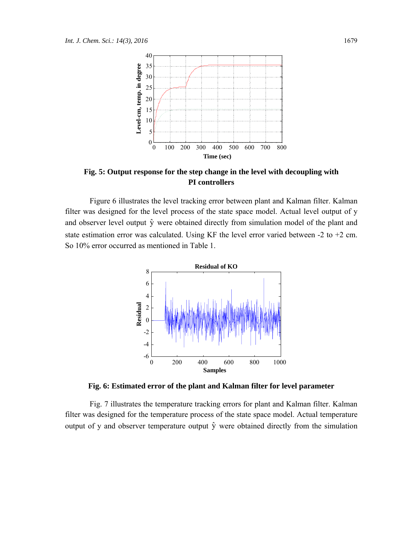

**Fig. 5: Output response for the step change in the level with decoupling with PI controllers** 

Figure 6 illustrates the level tracking error between plant and Kalman filter. Kalman filter was designed for the level process of the state space model. Actual level output of y and observer level output  $\hat{y}$  were obtained directly from simulation model of the plant and state estimation error was calculated. Using KF the level error varied between -2 to +2 cm. So 10% error occurred as mentioned in Table 1.



**Fig. 6: Estimated error of the plant and Kalman filter for level parameter** 

Fig. 7 illustrates the temperature tracking errors for plant and Kalman filter. Kalman filter was designed for the temperature process of the state space model. Actual temperature output of y and observer temperature output  $\hat{y}$  were obtained directly from the simulation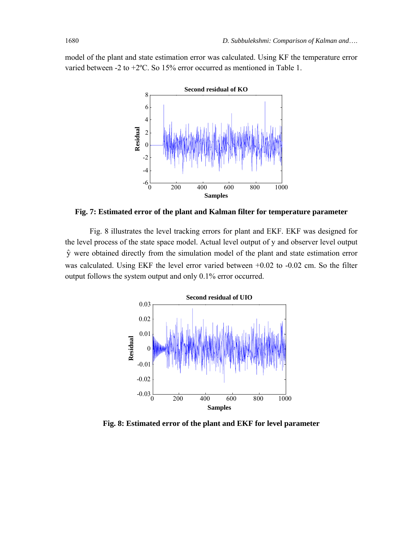model of the plant and state estimation error was calculated. Using KF the temperature error varied between -2 to +2ºC. So 15% error occurred as mentioned in Table 1.



**Fig. 7: Estimated error of the plant and Kalman filter for temperature parameter** 

Fig. 8 illustrates the level tracking errors for plant and EKF. EKF was designed for the level process of the state space model. Actual level output of y and observer level output  $\hat{y}$  were obtained directly from the simulation model of the plant and state estimation error was calculated. Using EKF the level error varied between +0.02 to -0.02 cm. So the filter output follows the system output and only 0.1% error occurred.



**Fig. 8: Estimated error of the plant and EKF for level parameter**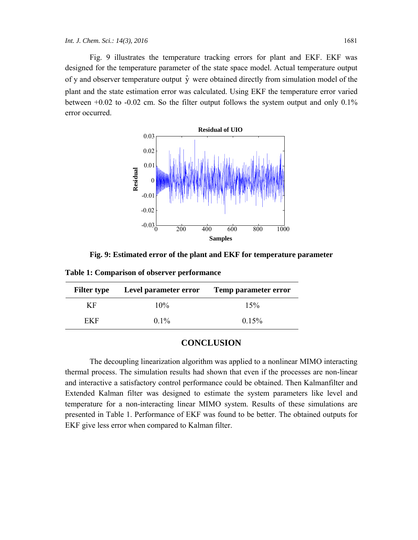Fig. 9 illustrates the temperature tracking errors for plant and EKF. EKF was designed for the temperature parameter of the state space model. Actual temperature output of y and observer temperature output  $\hat{y}$  were obtained directly from simulation model of the plant and the state estimation error was calculated. Using EKF the temperature error varied between  $+0.02$  to  $-0.02$  cm. So the filter output follows the system output and only  $0.1\%$ error occurred.



**Fig. 9: Estimated error of the plant and EKF for temperature parameter** 

**Table 1: Comparison of observer performance** 

| <b>Filter type</b> | Level parameter error | Temp parameter error |
|--------------------|-----------------------|----------------------|
| K F                | 10%                   | 15%                  |
| FKF                | $0.1\%$               | 0.15%                |

### **CONCLUSION**

The decoupling linearization algorithm was applied to a nonlinear MIMO interacting thermal process. The simulation results had shown that even if the processes are non-linear and interactive a satisfactory control performance could be obtained. Then Kalmanfilter and Extended Kalman filter was designed to estimate the system parameters like level and temperature for a non-interacting linear MIMO system. Results of these simulations are presented in Table 1. Performance of EKF was found to be better. The obtained outputs for EKF give less error when compared to Kalman filter.